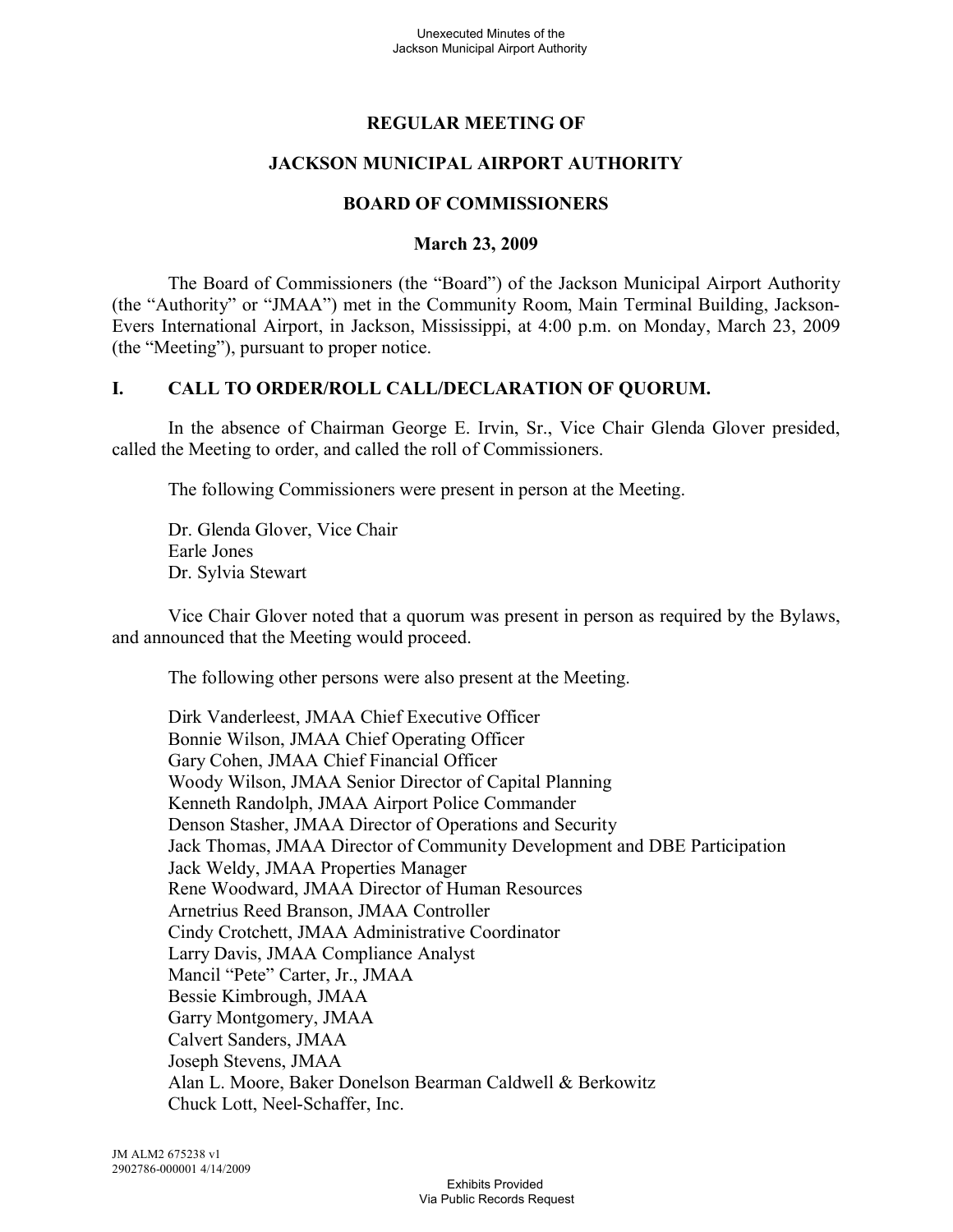# **REGULAR MEETING OF**

# **JACKSON MUNICIPAL AIRPORT AUTHORITY**

## **BOARD OF COMMISSIONERS**

### **March 23, 2009**

The Board of Commissioners (the "Board") of the Jackson Municipal Airport Authority (the "Authority" or "JMAA") met in the Community Room, Main Terminal Building, Jackson-Evers International Airport, in Jackson, Mississippi, at 4:00 p.m. on Monday, March 23, 2009 (the "Meeting"), pursuant to proper notice.

## **I. CALL TO ORDER/ROLL CALL/DECLARATION OF QUORUM.**

In the absence of Chairman George E. Irvin, Sr., Vice Chair Glenda Glover presided, called the Meeting to order, and called the roll of Commissioners.

The following Commissioners were present in person at the Meeting.

Dr. Glenda Glover, Vice Chair Earle Jones Dr. Sylvia Stewart

Vice Chair Glover noted that a quorum was present in person as required by the Bylaws, and announced that the Meeting would proceed.

The following other persons were also present at the Meeting.

Dirk Vanderleest, JMAA Chief Executive Officer Bonnie Wilson, JMAA Chief Operating Officer Gary Cohen, JMAA Chief Financial Officer Woody Wilson, JMAA Senior Director of Capital Planning Kenneth Randolph, JMAA Airport Police Commander Denson Stasher, JMAA Director of Operations and Security Jack Thomas, JMAA Director of Community Development and DBE Participation Jack Weldy, JMAA Properties Manager Rene Woodward, JMAA Director of Human Resources Arnetrius Reed Branson, JMAA Controller Cindy Crotchett, JMAA Administrative Coordinator Larry Davis, JMAA Compliance Analyst Mancil "Pete" Carter, Jr., JMAA Bessie Kimbrough, JMAA Garry Montgomery, JMAA Calvert Sanders, JMAA Joseph Stevens, JMAA Alan L. Moore, Baker Donelson Bearman Caldwell & Berkowitz Chuck Lott, Neel-Schaffer, Inc.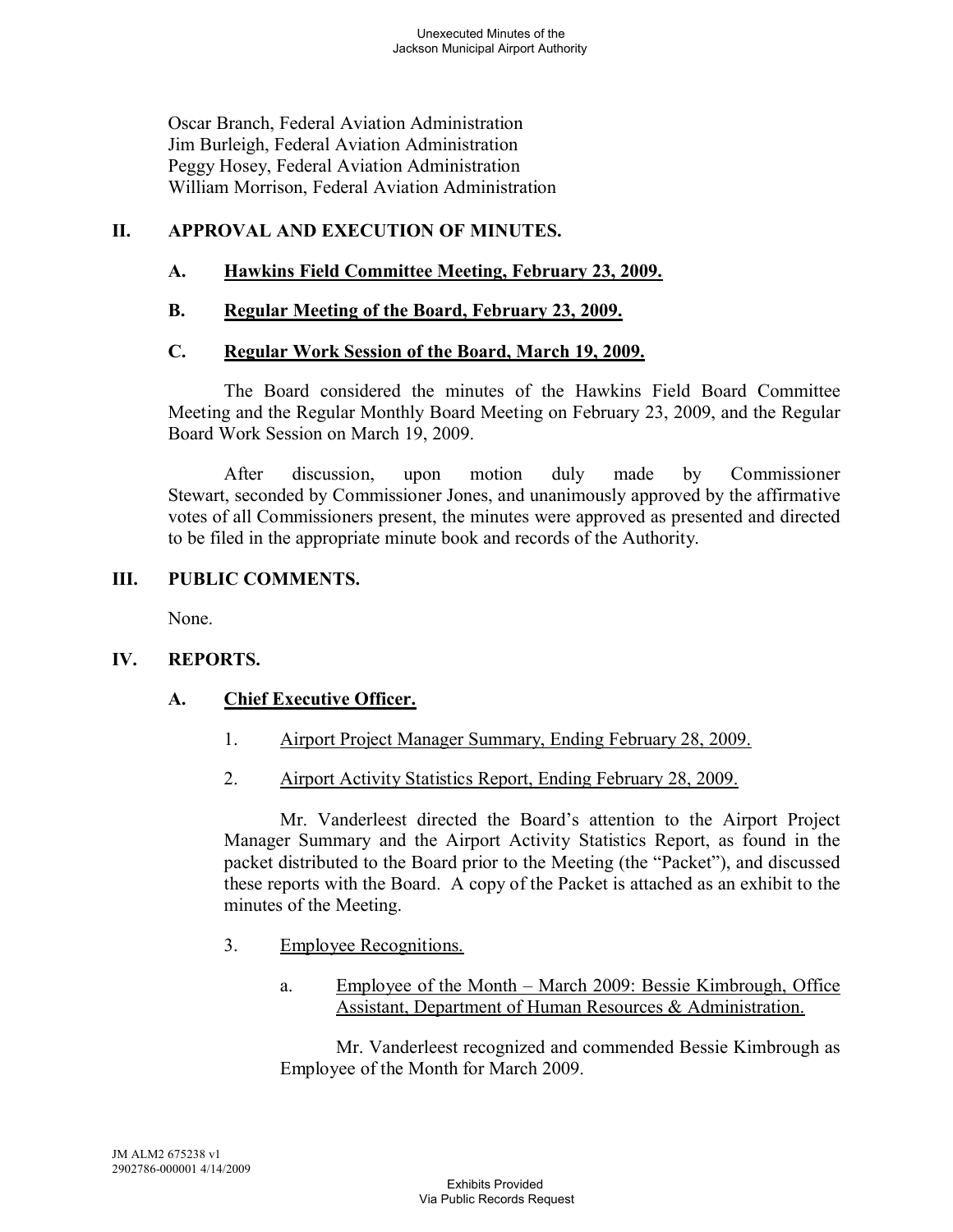Oscar Branch, Federal Aviation Administration Jim Burleigh, Federal Aviation Administration Peggy Hosey, Federal Aviation Administration William Morrison, Federal Aviation Administration

# **II. APPROVAL AND EXECUTION OF MINUTES.**

# **A. Hawkins Field Committee Meeting, February 23, 2009.**

# **B. Regular Meeting of the Board, February 23, 2009.**

## **C. Regular Work Session of the Board, March 19, 2009.**

The Board considered the minutes of the Hawkins Field Board Committee Meeting and the Regular Monthly Board Meeting on February 23, 2009, and the Regular Board Work Session on March 19, 2009.

After discussion, upon motion duly made by Commissioner Stewart, seconded by Commissioner Jones, and unanimously approved by the affirmative votes of all Commissioners present, the minutes were approved as presented and directed to be filed in the appropriate minute book and records of the Authority.

## **III. PUBLIC COMMENTS.**

None.

# **IV. REPORTS.**

# **A. Chief Executive Officer.**

- 1. Airport Project Manager Summary, Ending February 28, 2009.
- 2. Airport Activity Statistics Report, Ending February 28, 2009.

Mr. Vanderleest directed the Board's attention to the Airport Project Manager Summary and the Airport Activity Statistics Report, as found in the packet distributed to the Board prior to the Meeting (the "Packet"), and discussed these reports with the Board. A copy of the Packet is attached as an exhibit to the minutes of the Meeting.

- 3. Employee Recognitions.
	- a. Employee of the Month March 2009: Bessie Kimbrough, Office Assistant, Department of Human Resources & Administration.

Mr. Vanderleest recognized and commended Bessie Kimbrough as Employee of the Month for March 2009.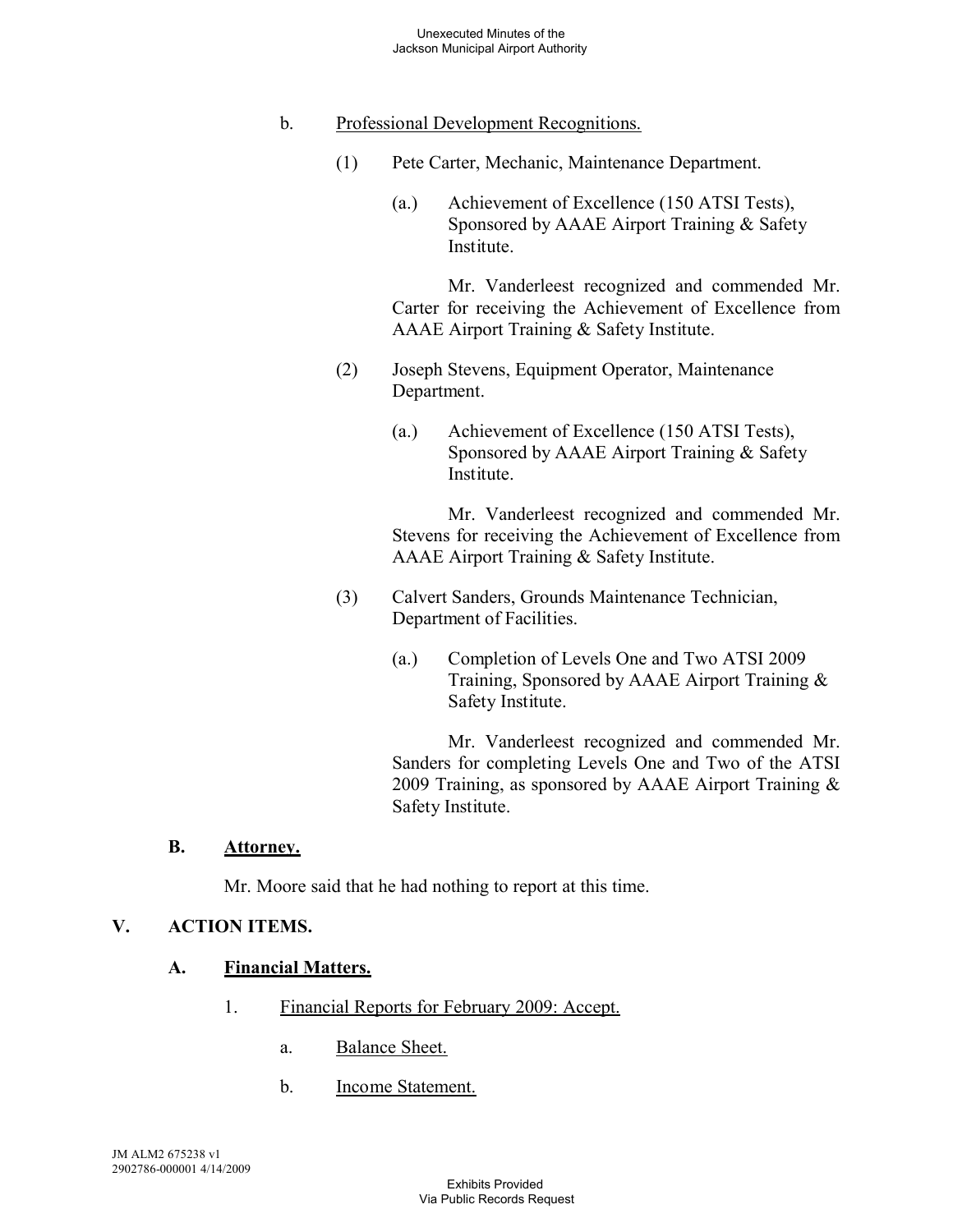# b. Professional Development Recognitions.

- (1) Pete Carter, Mechanic, Maintenance Department.
	- (a.) Achievement of Excellence (150 ATSI Tests), Sponsored by AAAE Airport Training & Safety Institute.

Mr. Vanderleest recognized and commended Mr. Carter for receiving the Achievement of Excellence from AAAE Airport Training & Safety Institute.

- (2) Joseph Stevens, Equipment Operator, Maintenance Department.
	- (a.) Achievement of Excellence (150 ATSI Tests), Sponsored by AAAE Airport Training & Safety Institute.

Mr. Vanderleest recognized and commended Mr. Stevens for receiving the Achievement of Excellence from AAAE Airport Training & Safety Institute.

- (3) Calvert Sanders, Grounds Maintenance Technician, Department of Facilities.
	- (a.) Completion of Levels One and Two ATSI 2009 Training, Sponsored by AAAE Airport Training & Safety Institute.

Mr. Vanderleest recognized and commended Mr. Sanders for completing Levels One and Two of the ATSI 2009 Training, as sponsored by AAAE Airport Training & Safety Institute.

#### **B. Attorney.**

Mr. Moore said that he had nothing to report at this time.

# **V. ACTION ITEMS.**

## **A. Financial Matters.**

- 1. Financial Reports for February 2009: Accept.
	- a. Balance Sheet.
	- b. Income Statement.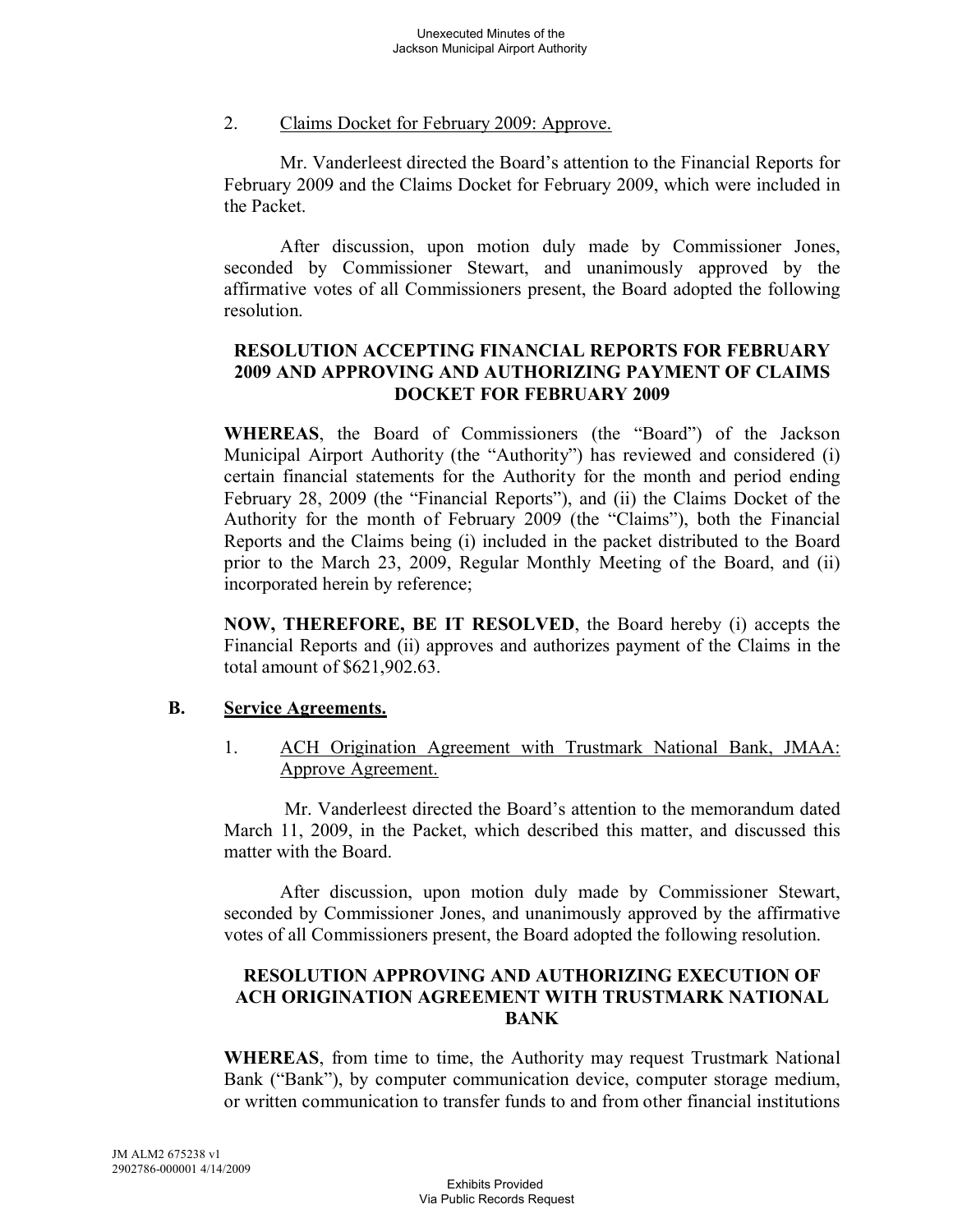#### 2. Claims Docket for February 2009: Approve.

Mr. Vanderleest directed the Board's attention to the Financial Reports for February 2009 and the Claims Docket for February 2009, which were included in the Packet.

After discussion, upon motion duly made by Commissioner Jones, seconded by Commissioner Stewart, and unanimously approved by the affirmative votes of all Commissioners present, the Board adopted the following resolution.

# **RESOLUTION ACCEPTING FINANCIAL REPORTS FOR FEBRUARY 2009 AND APPROVING AND AUTHORIZING PAYMENT OF CLAIMS DOCKET FOR FEBRUARY 2009**

**WHEREAS**, the Board of Commissioners (the "Board") of the Jackson Municipal Airport Authority (the "Authority") has reviewed and considered (i) certain financial statements for the Authority for the month and period ending February 28, 2009 (the "Financial Reports"), and (ii) the Claims Docket of the Authority for the month of February 2009 (the "Claims"), both the Financial Reports and the Claims being (i) included in the packet distributed to the Board prior to the March 23, 2009, Regular Monthly Meeting of the Board, and (ii) incorporated herein by reference;

**NOW, THEREFORE, BE IT RESOLVED**, the Board hereby (i) accepts the Financial Reports and (ii) approves and authorizes payment of the Claims in the total amount of \$621,902.63.

#### **B. Service Agreements.**

1. ACH Origination Agreement with Trustmark National Bank, JMAA: Approve Agreement.

Mr. Vanderleest directed the Board's attention to the memorandum dated March 11, 2009, in the Packet, which described this matter, and discussed this matter with the Board.

After discussion, upon motion duly made by Commissioner Stewart, seconded by Commissioner Jones, and unanimously approved by the affirmative votes of all Commissioners present, the Board adopted the following resolution.

# **RESOLUTION APPROVING AND AUTHORIZING EXECUTION OF ACH ORIGINATION AGREEMENT WITH TRUSTMARK NATIONAL BANK**

**WHEREAS**, from time to time, the Authority may request Trustmark National Bank ("Bank"), by computer communication device, computer storage medium, or written communication to transfer funds to and from other financial institutions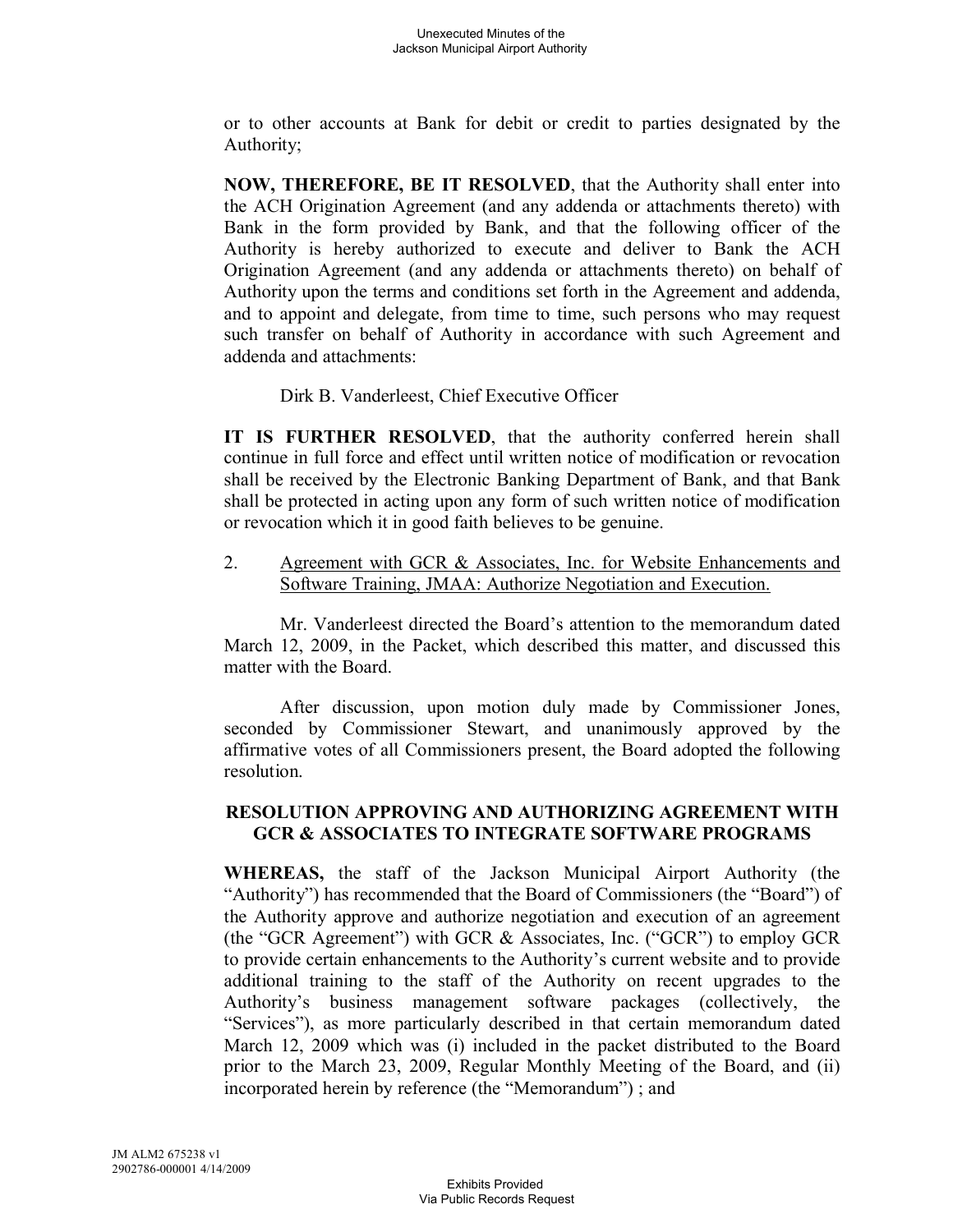or to other accounts at Bank for debit or credit to parties designated by the Authority;

**NOW, THEREFORE, BE IT RESOLVED**, that the Authority shall enter into the ACH Origination Agreement (and any addenda or attachments thereto) with Bank in the form provided by Bank, and that the following officer of the Authority is hereby authorized to execute and deliver to Bank the ACH Origination Agreement (and any addenda or attachments thereto) on behalf of Authority upon the terms and conditions set forth in the Agreement and addenda, and to appoint and delegate, from time to time, such persons who may request such transfer on behalf of Authority in accordance with such Agreement and addenda and attachments:

Dirk B. Vanderleest, Chief Executive Officer

**IT IS FURTHER RESOLVED**, that the authority conferred herein shall continue in full force and effect until written notice of modification or revocation shall be received by the Electronic Banking Department of Bank, and that Bank shall be protected in acting upon any form of such written notice of modification or revocation which it in good faith believes to be genuine.

2. Agreement with GCR & Associates, Inc. for Website Enhancements and Software Training, JMAA: Authorize Negotiation and Execution.

Mr. Vanderleest directed the Board's attention to the memorandum dated March 12, 2009, in the Packet, which described this matter, and discussed this matter with the Board.

After discussion, upon motion duly made by Commissioner Jones, seconded by Commissioner Stewart, and unanimously approved by the affirmative votes of all Commissioners present, the Board adopted the following resolution.

# **RESOLUTION APPROVING AND AUTHORIZING AGREEMENT WITH GCR & ASSOCIATES TO INTEGRATE SOFTWARE PROGRAMS**

**WHEREAS,** the staff of the Jackson Municipal Airport Authority (the "Authority") has recommended that the Board of Commissioners (the "Board") of the Authority approve and authorize negotiation and execution of an agreement (the "GCR Agreement") with GCR & Associates, Inc. ("GCR") to employ GCR to provide certain enhancements to the Authority's current website and to provide additional training to the staff of the Authority on recent upgrades to the Authority's business management software packages (collectively, the "Services"), as more particularly described in that certain memorandum dated March 12, 2009 which was (i) included in the packet distributed to the Board prior to the March 23, 2009, Regular Monthly Meeting of the Board, and (ii) incorporated herein by reference (the "Memorandum") ; and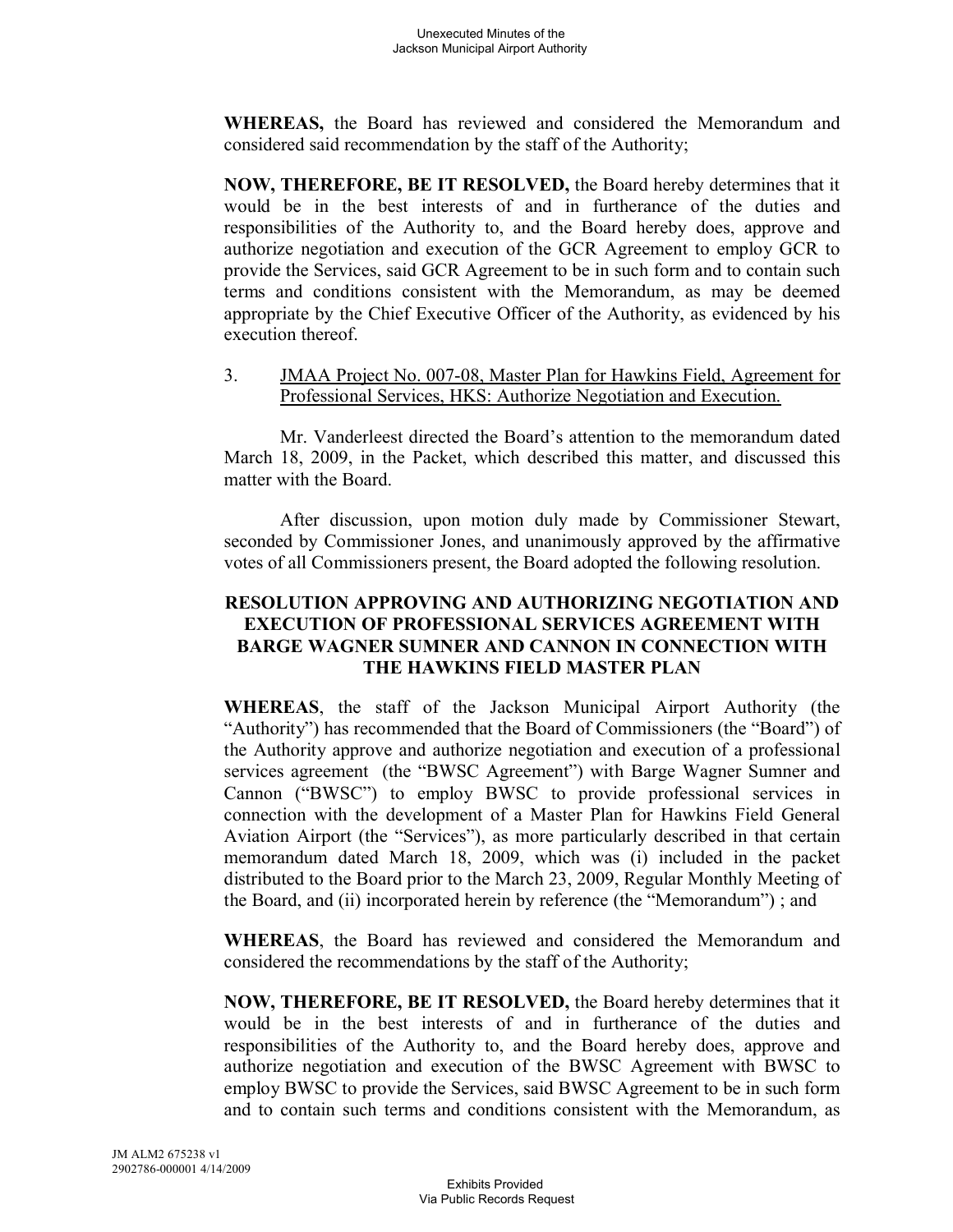**WHEREAS,** the Board has reviewed and considered the Memorandum and considered said recommendation by the staff of the Authority;

**NOW, THEREFORE, BE IT RESOLVED,** the Board hereby determines that it would be in the best interests of and in furtherance of the duties and responsibilities of the Authority to, and the Board hereby does, approve and authorize negotiation and execution of the GCR Agreement to employ GCR to provide the Services, said GCR Agreement to be in such form and to contain such terms and conditions consistent with the Memorandum, as may be deemed appropriate by the Chief Executive Officer of the Authority, as evidenced by his execution thereof.

3. JMAA Project No. 007-08, Master Plan for Hawkins Field, Agreement for Professional Services, HKS: Authorize Negotiation and Execution.

Mr. Vanderleest directed the Board's attention to the memorandum dated March 18, 2009, in the Packet, which described this matter, and discussed this matter with the Board.

After discussion, upon motion duly made by Commissioner Stewart, seconded by Commissioner Jones, and unanimously approved by the affirmative votes of all Commissioners present, the Board adopted the following resolution.

## **RESOLUTION APPROVING AND AUTHORIZING NEGOTIATION AND EXECUTION OF PROFESSIONAL SERVICES AGREEMENT WITH BARGE WAGNER SUMNER AND CANNON IN CONNECTION WITH THE HAWKINS FIELD MASTER PLAN**

**WHEREAS**, the staff of the Jackson Municipal Airport Authority (the "Authority") has recommended that the Board of Commissioners (the "Board") of the Authority approve and authorize negotiation and execution of a professional services agreement (the "BWSC Agreement") with Barge Wagner Sumner and Cannon ("BWSC") to employ BWSC to provide professional services in connection with the development of a Master Plan for Hawkins Field General Aviation Airport (the "Services"), as more particularly described in that certain memorandum dated March 18, 2009, which was (i) included in the packet distributed to the Board prior to the March 23, 2009, Regular Monthly Meeting of the Board, and (ii) incorporated herein by reference (the "Memorandum") ; and

**WHEREAS**, the Board has reviewed and considered the Memorandum and considered the recommendations by the staff of the Authority;

**NOW, THEREFORE, BE IT RESOLVED,** the Board hereby determines that it would be in the best interests of and in furtherance of the duties and responsibilities of the Authority to, and the Board hereby does, approve and authorize negotiation and execution of the BWSC Agreement with BWSC to employ BWSC to provide the Services, said BWSC Agreement to be in such form and to contain such terms and conditions consistent with the Memorandum, as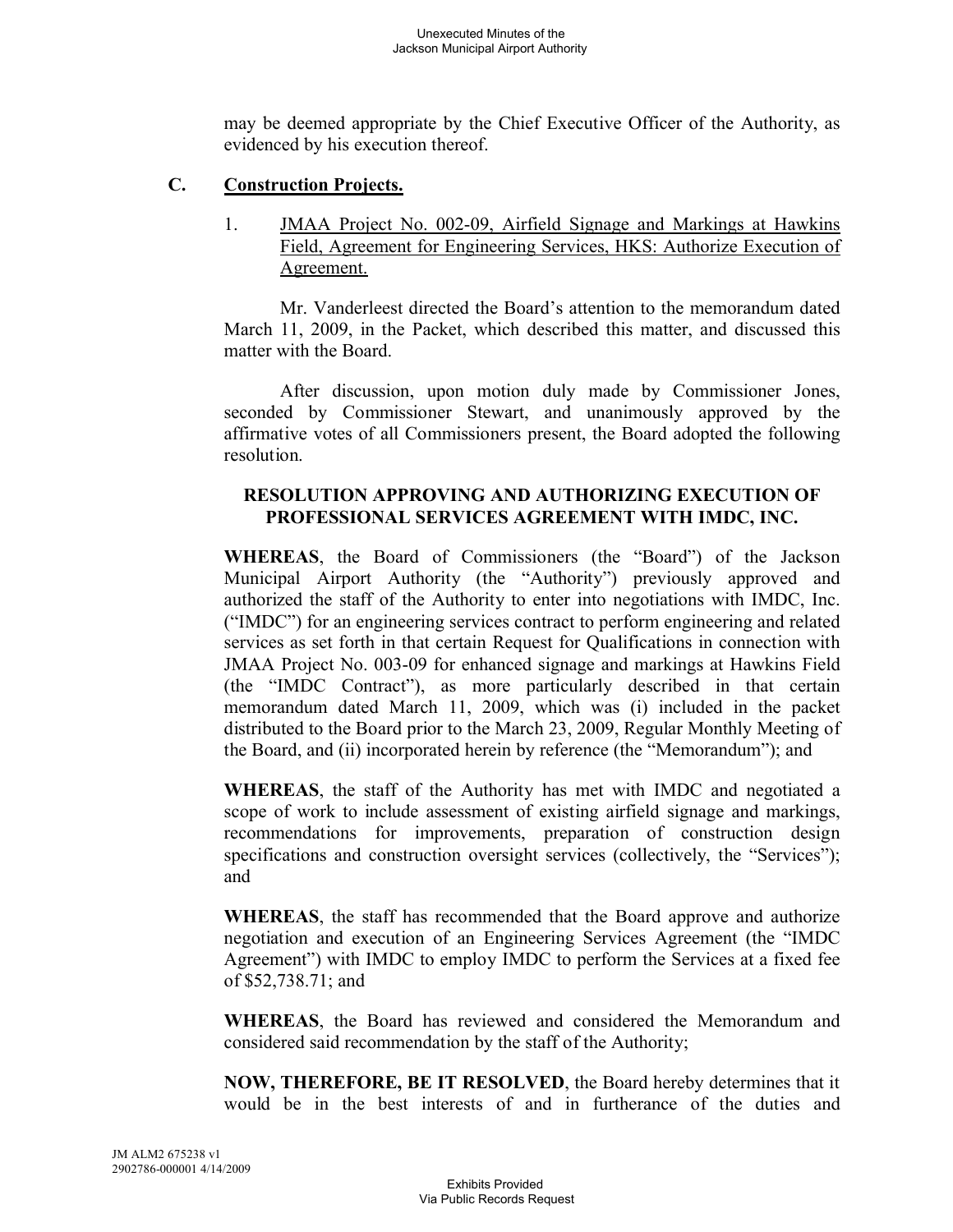may be deemed appropriate by the Chief Executive Officer of the Authority, as evidenced by his execution thereof.

## **C. Construction Projects.**

1. JMAA Project No. 002-09, Airfield Signage and Markings at Hawkins Field, Agreement for Engineering Services, HKS: Authorize Execution of Agreement.

Mr. Vanderleest directed the Board's attention to the memorandum dated March 11, 2009, in the Packet, which described this matter, and discussed this matter with the Board.

After discussion, upon motion duly made by Commissioner Jones, seconded by Commissioner Stewart, and unanimously approved by the affirmative votes of all Commissioners present, the Board adopted the following resolution.

# **RESOLUTION APPROVING AND AUTHORIZING EXECUTION OF PROFESSIONAL SERVICES AGREEMENT WITH IMDC, INC.**

**WHEREAS**, the Board of Commissioners (the "Board") of the Jackson Municipal Airport Authority (the "Authority") previously approved and authorized the staff of the Authority to enter into negotiations with IMDC, Inc. ("IMDC") for an engineering services contract to perform engineering and related services as set forth in that certain Request for Qualifications in connection with JMAA Project No. 003-09 for enhanced signage and markings at Hawkins Field (the "IMDC Contract"), as more particularly described in that certain memorandum dated March 11, 2009, which was (i) included in the packet distributed to the Board prior to the March 23, 2009, Regular Monthly Meeting of the Board, and (ii) incorporated herein by reference (the "Memorandum"); and

**WHEREAS**, the staff of the Authority has met with IMDC and negotiated a scope of work to include assessment of existing airfield signage and markings, recommendations for improvements, preparation of construction design specifications and construction oversight services (collectively, the "Services"); and

**WHEREAS**, the staff has recommended that the Board approve and authorize negotiation and execution of an Engineering Services Agreement (the "IMDC Agreement") with IMDC to employ IMDC to perform the Services at a fixed fee of \$52,738.71; and

**WHEREAS**, the Board has reviewed and considered the Memorandum and considered said recommendation by the staff of the Authority;

**NOW, THEREFORE, BE IT RESOLVED**, the Board hereby determines that it would be in the best interests of and in furtherance of the duties and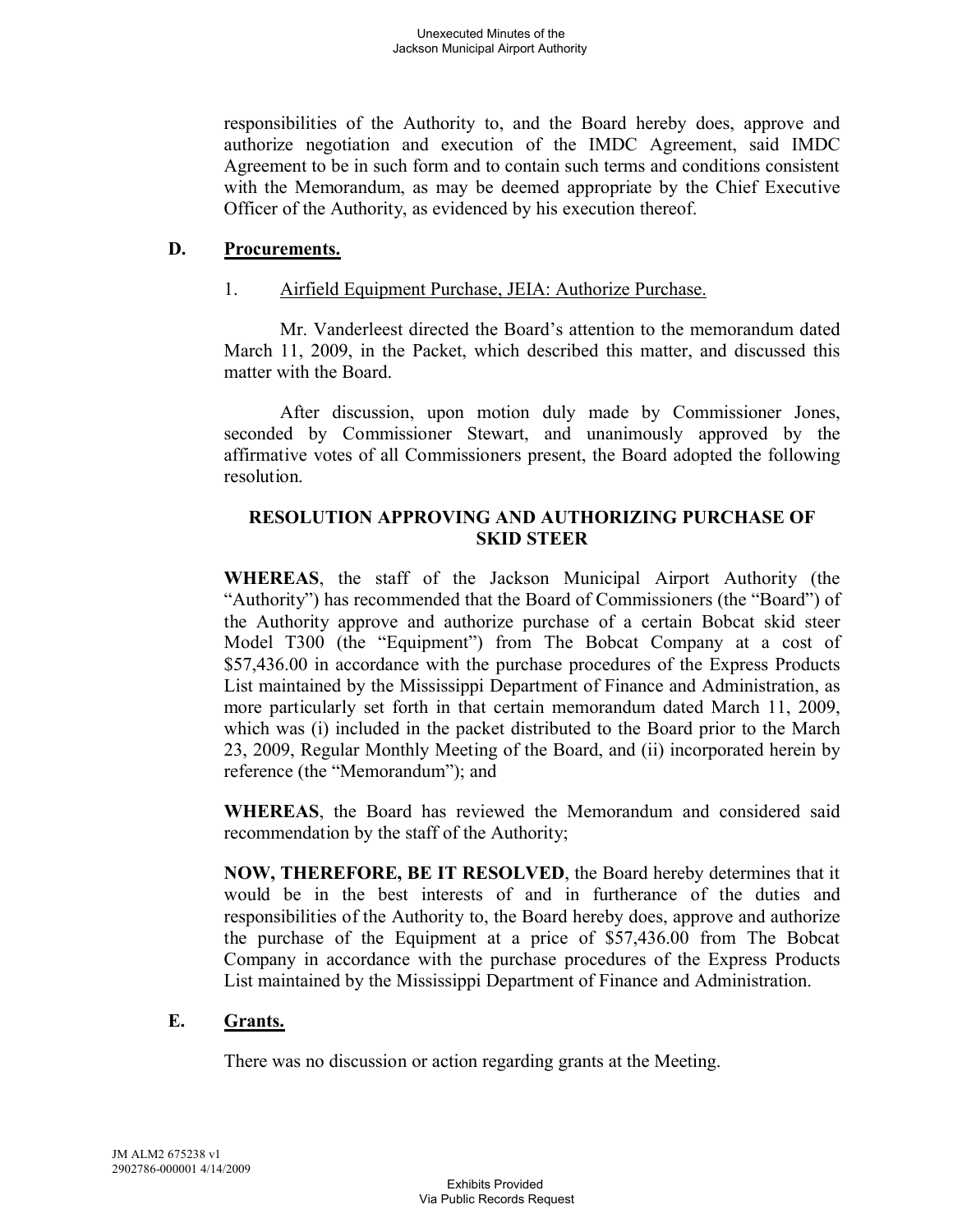responsibilities of the Authority to, and the Board hereby does, approve and authorize negotiation and execution of the IMDC Agreement, said IMDC Agreement to be in such form and to contain such terms and conditions consistent with the Memorandum, as may be deemed appropriate by the Chief Executive Officer of the Authority, as evidenced by his execution thereof.

### **D. Procurements.**

## 1. Airfield Equipment Purchase, JEIA: Authorize Purchase.

Mr. Vanderleest directed the Board's attention to the memorandum dated March 11, 2009, in the Packet, which described this matter, and discussed this matter with the Board.

After discussion, upon motion duly made by Commissioner Jones, seconded by Commissioner Stewart, and unanimously approved by the affirmative votes of all Commissioners present, the Board adopted the following resolution.

# **RESOLUTION APPROVING AND AUTHORIZING PURCHASE OF SKID STEER**

**WHEREAS**, the staff of the Jackson Municipal Airport Authority (the "Authority") has recommended that the Board of Commissioners (the "Board") of the Authority approve and authorize purchase of a certain Bobcat skid steer Model T300 (the "Equipment") from The Bobcat Company at a cost of \$57,436.00 in accordance with the purchase procedures of the Express Products List maintained by the Mississippi Department of Finance and Administration, as more particularly set forth in that certain memorandum dated March 11, 2009, which was (i) included in the packet distributed to the Board prior to the March 23, 2009, Regular Monthly Meeting of the Board, and (ii) incorporated herein by reference (the "Memorandum"); and

**WHEREAS**, the Board has reviewed the Memorandum and considered said recommendation by the staff of the Authority;

**NOW, THEREFORE, BE IT RESOLVED**, the Board hereby determines that it would be in the best interests of and in furtherance of the duties and responsibilities of the Authority to, the Board hereby does, approve and authorize the purchase of the Equipment at a price of \$57,436.00 from The Bobcat Company in accordance with the purchase procedures of the Express Products List maintained by the Mississippi Department of Finance and Administration.

# **E. Grants.**

There was no discussion or action regarding grants at the Meeting.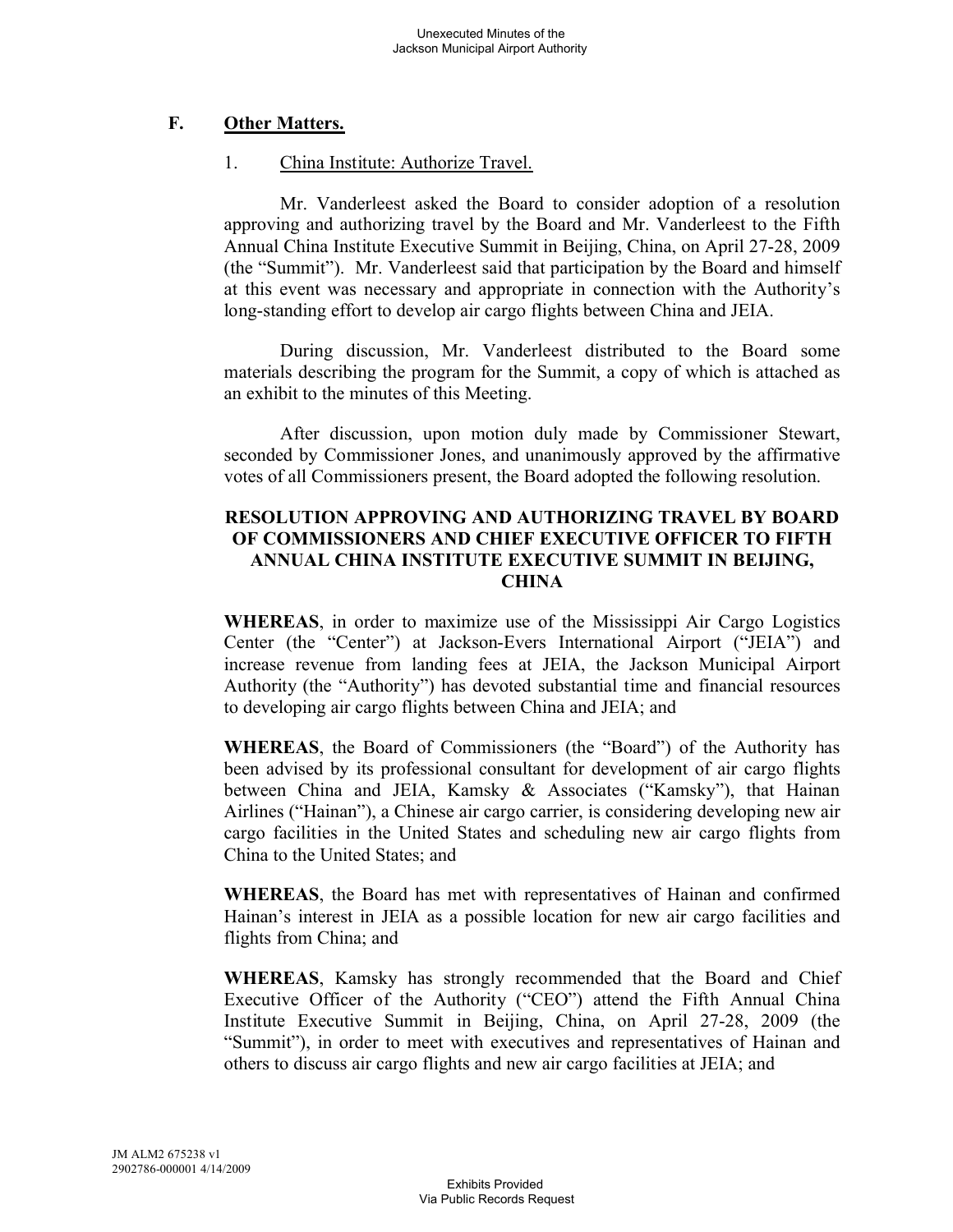# **F. Other Matters.**

## 1. China Institute: Authorize Travel.

Mr. Vanderleest asked the Board to consider adoption of a resolution approving and authorizing travel by the Board and Mr. Vanderleest to the Fifth Annual China Institute Executive Summit in Beijing, China, on April 27-28, 2009 (the "Summit"). Mr. Vanderleest said that participation by the Board and himself at this event was necessary and appropriate in connection with the Authority's long-standing effort to develop air cargo flights between China and JEIA.

During discussion, Mr. Vanderleest distributed to the Board some materials describing the program for the Summit, a copy of which is attached as an exhibit to the minutes of this Meeting.

After discussion, upon motion duly made by Commissioner Stewart, seconded by Commissioner Jones, and unanimously approved by the affirmative votes of all Commissioners present, the Board adopted the following resolution.

## **RESOLUTION APPROVING AND AUTHORIZING TRAVEL BY BOARD OF COMMISSIONERS AND CHIEF EXECUTIVE OFFICER TO FIFTH ANNUAL CHINA INSTITUTE EXECUTIVE SUMMIT IN BEIJING, CHINA**

**WHEREAS**, in order to maximize use of the Mississippi Air Cargo Logistics Center (the "Center") at Jackson-Evers International Airport ("JEIA") and increase revenue from landing fees at JEIA, the Jackson Municipal Airport Authority (the "Authority") has devoted substantial time and financial resources to developing air cargo flights between China and JEIA; and

**WHEREAS**, the Board of Commissioners (the "Board") of the Authority has been advised by its professional consultant for development of air cargo flights between China and JEIA, Kamsky & Associates ("Kamsky"), that Hainan Airlines ("Hainan"), a Chinese air cargo carrier, is considering developing new air cargo facilities in the United States and scheduling new air cargo flights from China to the United States; and

**WHEREAS**, the Board has met with representatives of Hainan and confirmed Hainan's interest in JEIA as a possible location for new air cargo facilities and flights from China; and

**WHEREAS**, Kamsky has strongly recommended that the Board and Chief Executive Officer of the Authority ("CEO") attend the Fifth Annual China Institute Executive Summit in Beijing, China, on April 27-28, 2009 (the "Summit"), in order to meet with executives and representatives of Hainan and others to discuss air cargo flights and new air cargo facilities at JEIA; and